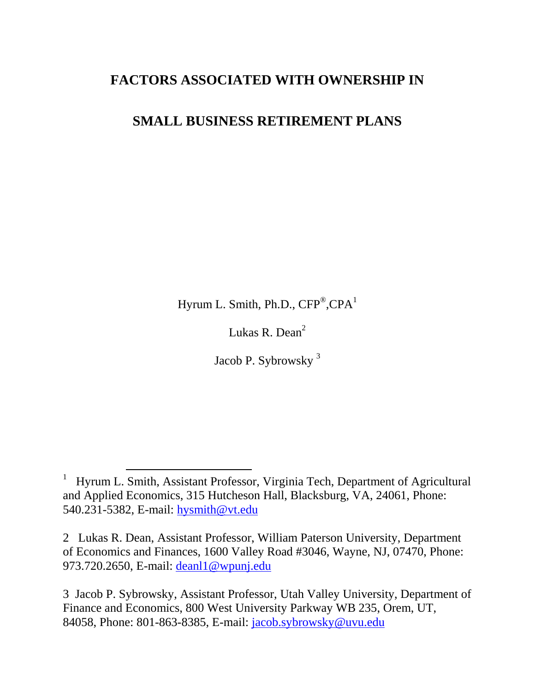## **FACTORS ASSOCIATED WITH OWNERSHIP IN**

# **SMALL BUSINESS RETIREMENT PLANS**

Hyrum L. Smith, Ph.D.,  $\text{CFP}^{\circledast}, \text{CPA}^1$ 

Lukas R. Dean<sup>2</sup>

Jacob P. Sybrowsky <sup>3</sup>

 $\overline{a}$ 

<sup>&</sup>lt;sup>1</sup> Hyrum L. Smith, Assistant Professor, Virginia Tech, Department of Agricultural and Applied Economics, 315 Hutcheson Hall, Blacksburg, VA, 24061, Phone: 540.231-5382, E-mail: [hysmith@vt.edu](mailto:hysmith@vt.edu)

<sup>2</sup> Lukas R. Dean, Assistant Professor, William Paterson University, Department of Economics and Finances, 1600 Valley Road #3046, Wayne, NJ, 07470, Phone: 973.720.2650, E-mail: [deanl1@wpunj.edu](file:///E:/Research/2011/Self-Employed%20Retirement/deanl1@wpunj.edu)

<sup>3</sup> Jacob P. Sybrowsky, Assistant Professor, Utah Valley University, Department of Finance and Economics, 800 West University Parkway WB 235, Orem, UT, 84058, Phone: 801-863-8385, E-mail: [jacob.sybrowsky@uvu.edu](file:///E:/Research/AFS/2010/deanl1@wpunj.edu)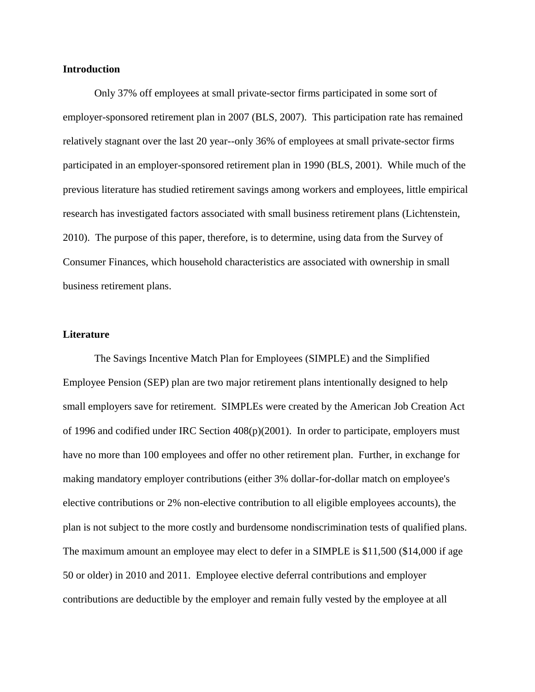#### **Introduction**

Only 37% off employees at small private-sector firms participated in some sort of employer-sponsored retirement plan in 2007 (BLS, 2007). This participation rate has remained relatively stagnant over the last 20 year--only 36% of employees at small private-sector firms participated in an employer-sponsored retirement plan in 1990 (BLS, 2001). While much of the previous literature has studied retirement savings among workers and employees, little empirical research has investigated factors associated with small business retirement plans (Lichtenstein, 2010). The purpose of this paper, therefore, is to determine, using data from the Survey of Consumer Finances, which household characteristics are associated with ownership in small business retirement plans.

#### **Literature**

The Savings Incentive Match Plan for Employees (SIMPLE) and the Simplified Employee Pension (SEP) plan are two major retirement plans intentionally designed to help small employers save for retirement. SIMPLEs were created by the American Job Creation Act of 1996 and codified under IRC Section 408(p)(2001). In order to participate, employers must have no more than 100 employees and offer no other retirement plan. Further, in exchange for making mandatory employer contributions (either 3% dollar-for-dollar match on employee's elective contributions or 2% non-elective contribution to all eligible employees accounts), the plan is not subject to the more costly and burdensome nondiscrimination tests of qualified plans. The maximum amount an employee may elect to defer in a SIMPLE is \$11,500 (\$14,000 if age 50 or older) in 2010 and 2011. Employee elective deferral contributions and employer contributions are deductible by the employer and remain fully vested by the employee at all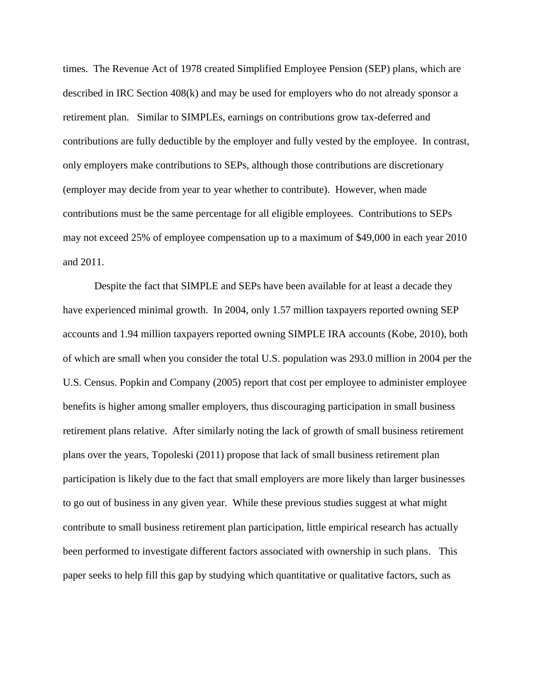times. The Revenue Act of 1978 created Simplified Employee Pension (SEP) plans, which are described in IRC Section 408(k) and may be used for employers who do not already sponsor a retirement plan. Similar to SIMPLEs, earnings on contributions grow tax-deferred and contributions are fully deductible by the employer and fully vested by the employee. In contrast, only employers make contributions to SEPs, although those contributions are discretionary (employer may decide from year to year whether to contribute). However, when made contributions must be the same percentage for all eligible employees. Contributions to SEPs may not exceed 25% of employee compensation up to a maximum of \$49,000 in each year 2010 and 2011.

Despite the fact that SIMPLE and SEPs have been available for at least a decade they have experienced minimal growth. In 2004, only 1.57 million taxpayers reported owning SEP accounts and 1.94 million taxpayers reported owning SIMPLE IRA accounts (Kobe, 2010), both of which are small when you consider the total U.S. population was 293.0 million in 2004 per the U.S. Census. Popkin and Company (2005) report that cost per employee to administer employee benefits is higher among smaller employers, thus discouraging participation in small business retirement plans relative. After similarly noting the lack of growth of small business retirement plans over the years, Topoleski (2011) propose that lack of small business retirement plan participation is likely due to the fact that small employers are more likely than larger businesses to go out of business in any given year. While these previous studies suggest at what might contribute to small business retirement plan participation, little empirical research has actually been performed to investigate different factors associated with ownership in such plans. This paper seeks to help fill this gap by studying which quantitative or qualitative factors, such as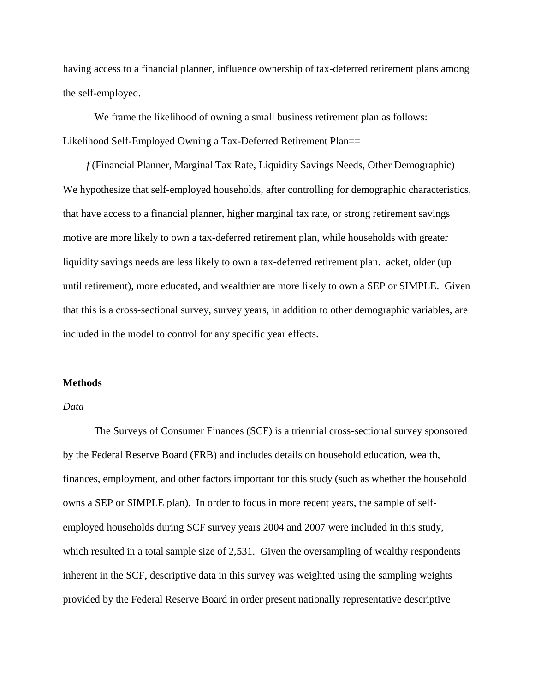having access to a financial planner, influence ownership of tax-deferred retirement plans among the self-employed.

We frame the likelihood of owning a small business retirement plan as follows: Likelihood Self-Employed Owning a Tax-Deferred Retirement Plan==

 *f* (Financial Planner, Marginal Tax Rate, Liquidity Savings Needs, Other Demographic) We hypothesize that self-employed households, after controlling for demographic characteristics, that have access to a financial planner, higher marginal tax rate, or strong retirement savings motive are more likely to own a tax-deferred retirement plan, while households with greater liquidity savings needs are less likely to own a tax-deferred retirement plan. acket, older (up until retirement), more educated, and wealthier are more likely to own a SEP or SIMPLE. Given that this is a cross-sectional survey, survey years, in addition to other demographic variables, are included in the model to control for any specific year effects.

#### **Methods**

## *Data*

The Surveys of Consumer Finances (SCF) is a triennial cross-sectional survey sponsored by the Federal Reserve Board (FRB) and includes details on household education, wealth, finances, employment, and other factors important for this study (such as whether the household owns a SEP or SIMPLE plan). In order to focus in more recent years, the sample of selfemployed households during SCF survey years 2004 and 2007 were included in this study, which resulted in a total sample size of 2,531. Given the oversampling of wealthy respondents inherent in the SCF, descriptive data in this survey was weighted using the sampling weights provided by the Federal Reserve Board in order present nationally representative descriptive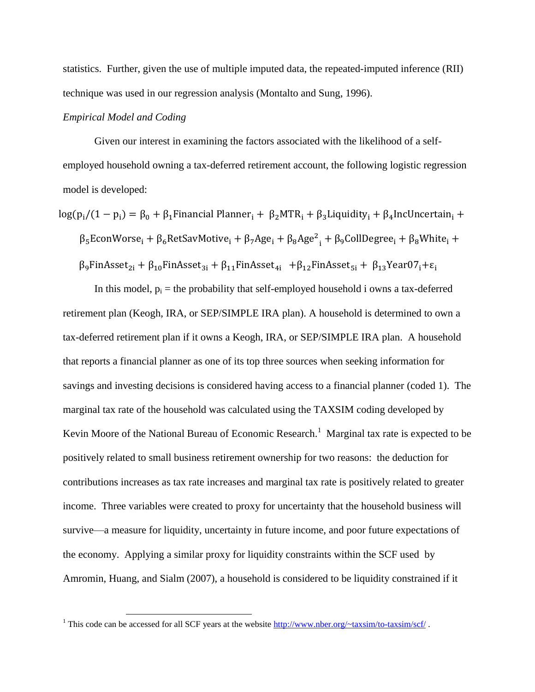statistics. Further, given the use of multiple imputed data, the repeated-imputed inference (RII) technique was used in our regression analysis (Montalto and Sung, 1996).

## *Empirical Model and Coding*

 $\overline{\phantom{a}}$ 

Given our interest in examining the factors associated with the likelihood of a selfemployed household owning a tax-deferred retirement account, the following logistic regression model is developed:

 $\log(p_i/(1-p_i) = \beta_0 + \beta_1$ Financial Planner<sub>i</sub> +  $\beta_2 MTR_i + \beta_3$ Liquidity<sub>i</sub> +  $\beta_4$ IncUncertain<sub>i</sub> +

 $\beta_5$ EconWorse<sub>i</sub> +  $\beta_6$ RetSavMotive<sub>i</sub> +  $\beta_7$ Age<sub>i</sub> +  $\beta_8$ Age<sup>2</sup><sub>i</sub> +

 $\beta_9$ FinAsset<sub>2i</sub> +  $\beta_{10}$ FinAsset<sub>3i</sub> +  $\beta_{11}$ FinAsset<sub>4i</sub> +  $\beta_{12}$ FinAsset<sub>5i</sub> +  $\beta_{13}$ Year07<sub>i</sub>+ $\varepsilon_1$ 

In this model,  $p_i$  = the probability that self-employed household i owns a tax-deferred retirement plan (Keogh, IRA, or SEP/SIMPLE IRA plan). A household is determined to own a tax-deferred retirement plan if it owns a Keogh, IRA, or SEP/SIMPLE IRA plan. A household that reports a financial planner as one of its top three sources when seeking information for savings and investing decisions is considered having access to a financial planner (coded 1). The marginal tax rate of the household was calculated using the TAXSIM coding developed by Kevin Moore of the National Bureau of Economic Research.<sup>1</sup> Marginal tax rate is expected to be positively related to small business retirement ownership for two reasons: the deduction for contributions increases as tax rate increases and marginal tax rate is positively related to greater income. Three variables were created to proxy for uncertainty that the household business will survive—a measure for liquidity, uncertainty in future income, and poor future expectations of the economy. Applying a similar proxy for liquidity constraints within the SCF used by Amromin, Huang, and Sialm (2007), a household is considered to be liquidity constrained if it

<sup>&</sup>lt;sup>1</sup> This code can be accessed for all SCF years at the website<http://www.nber.org/~taxsim/to-taxsim/scf/>.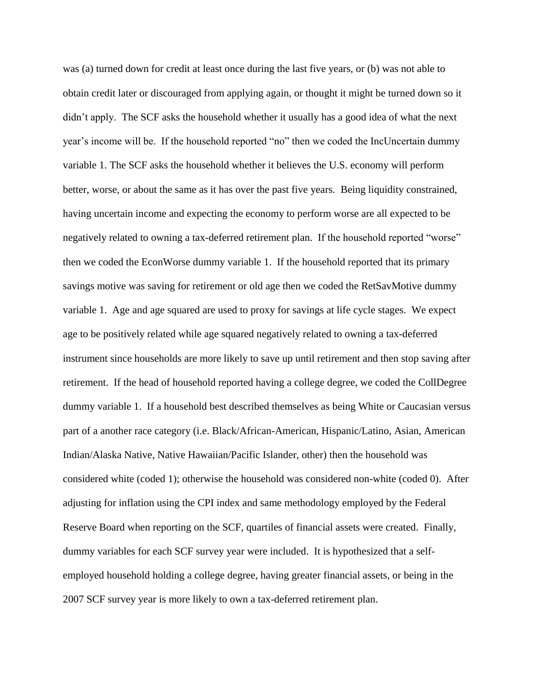was (a) turned down for credit at least once during the last five years, or (b) was not able to obtain credit later or discouraged from applying again, or thought it might be turned down so it didn't apply. The SCF asks the household whether it usually has a good idea of what the next year's income will be. If the household reported "no" then we coded the IncUncertain dummy variable 1. The SCF asks the household whether it believes the U.S. economy will perform better, worse, or about the same as it has over the past five years. Being liquidity constrained, having uncertain income and expecting the economy to perform worse are all expected to be negatively related to owning a tax-deferred retirement plan. If the household reported "worse" then we coded the EconWorse dummy variable 1. If the household reported that its primary savings motive was saving for retirement or old age then we coded the RetSavMotive dummy variable 1. Age and age squared are used to proxy for savings at life cycle stages. We expect age to be positively related while age squared negatively related to owning a tax-deferred instrument since households are more likely to save up until retirement and then stop saving after retirement. If the head of household reported having a college degree, we coded the CollDegree dummy variable 1. If a household best described themselves as being White or Caucasian versus part of a another race category (i.e. Black/African-American, Hispanic/Latino, Asian, American Indian/Alaska Native, Native Hawaiian/Pacific Islander, other) then the household was considered white (coded 1); otherwise the household was considered non-white (coded 0). After adjusting for inflation using the CPI index and same methodology employed by the Federal Reserve Board when reporting on the SCF, quartiles of financial assets were created. Finally, dummy variables for each SCF survey year were included. It is hypothesized that a selfemployed household holding a college degree, having greater financial assets, or being in the 2007 SCF survey year is more likely to own a tax-deferred retirement plan.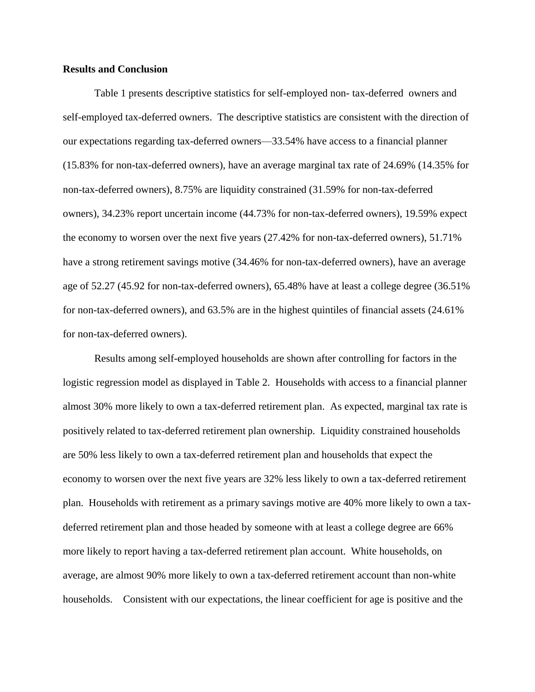#### **Results and Conclusion**

Table 1 presents descriptive statistics for self-employed non- tax-deferred owners and self-employed tax-deferred owners. The descriptive statistics are consistent with the direction of our expectations regarding tax-deferred owners—33.54% have access to a financial planner (15.83% for non-tax-deferred owners), have an average marginal tax rate of 24.69% (14.35% for non-tax-deferred owners), 8.75% are liquidity constrained (31.59% for non-tax-deferred owners), 34.23% report uncertain income (44.73% for non-tax-deferred owners), 19.59% expect the economy to worsen over the next five years (27.42% for non-tax-deferred owners), 51.71% have a strong retirement savings motive (34.46% for non-tax-deferred owners), have an average age of 52.27 (45.92 for non-tax-deferred owners), 65.48% have at least a college degree (36.51% for non-tax-deferred owners), and 63.5% are in the highest quintiles of financial assets (24.61% for non-tax-deferred owners).

Results among self-employed households are shown after controlling for factors in the logistic regression model as displayed in Table 2. Households with access to a financial planner almost 30% more likely to own a tax-deferred retirement plan. As expected, marginal tax rate is positively related to tax-deferred retirement plan ownership. Liquidity constrained households are 50% less likely to own a tax-deferred retirement plan and households that expect the economy to worsen over the next five years are 32% less likely to own a tax-deferred retirement plan. Households with retirement as a primary savings motive are 40% more likely to own a taxdeferred retirement plan and those headed by someone with at least a college degree are 66% more likely to report having a tax-deferred retirement plan account. White households, on average, are almost 90% more likely to own a tax-deferred retirement account than non-white households. Consistent with our expectations, the linear coefficient for age is positive and the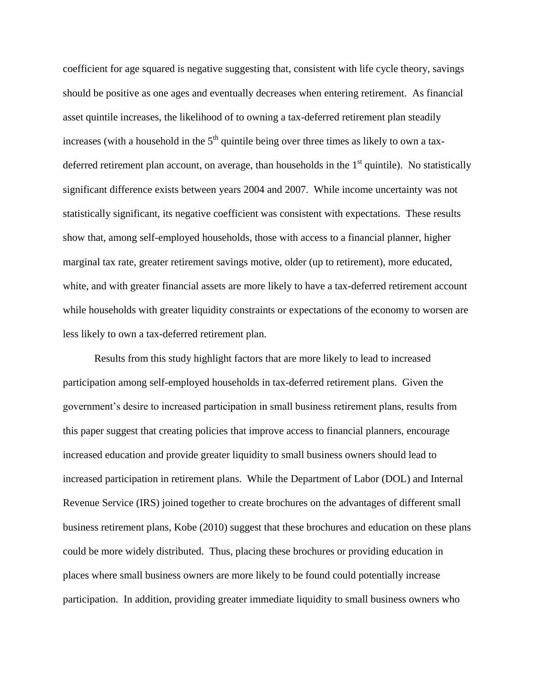coefficient for age squared is negative suggesting that, consistent with life cycle theory, savings should be positive as one ages and eventually decreases when entering retirement. As financial asset quintile increases, the likelihood of to owning a tax-deferred retirement plan steadily increases (with a household in the  $5<sup>th</sup>$  quintile being over three times as likely to own a taxdeferred retirement plan account, on average, than households in the  $1<sup>st</sup>$  quintile). No statistically significant difference exists between years 2004 and 2007. While income uncertainty was not statistically significant, its negative coefficient was consistent with expectations. These results show that, among self-employed households, those with access to a financial planner, higher marginal tax rate, greater retirement savings motive, older (up to retirement), more educated, white, and with greater financial assets are more likely to have a tax-deferred retirement account while households with greater liquidity constraints or expectations of the economy to worsen are less likely to own a tax-deferred retirement plan.

Results from this study highlight factors that are more likely to lead to increased participation among self-employed households in tax-deferred retirement plans. Given the government's desire to increased participation in small business retirement plans, results from this paper suggest that creating policies that improve access to financial planners, encourage increased education and provide greater liquidity to small business owners should lead to increased participation in retirement plans. While the Department of Labor (DOL) and Internal Revenue Service (IRS) joined together to create brochures on the advantages of different small business retirement plans, Kobe (2010) suggest that these brochures and education on these plans could be more widely distributed. Thus, placing these brochures or providing education in places where small business owners are more likely to be found could potentially increase participation. In addition, providing greater immediate liquidity to small business owners who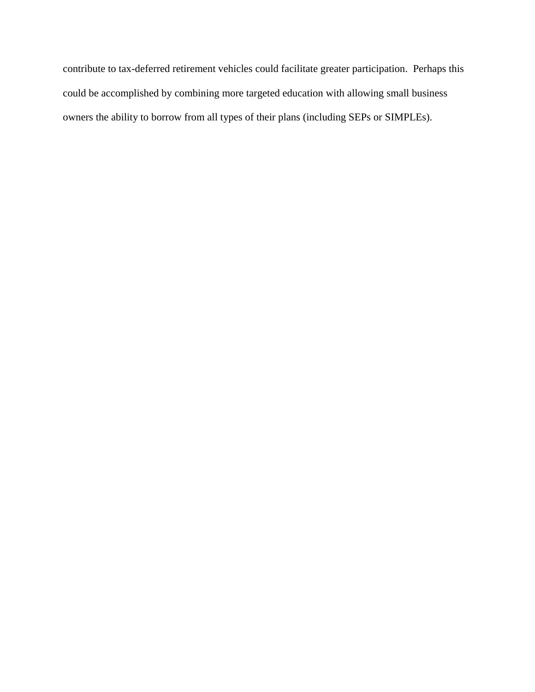contribute to tax-deferred retirement vehicles could facilitate greater participation. Perhaps this could be accomplished by combining more targeted education with allowing small business owners the ability to borrow from all types of their plans (including SEPs or SIMPLEs).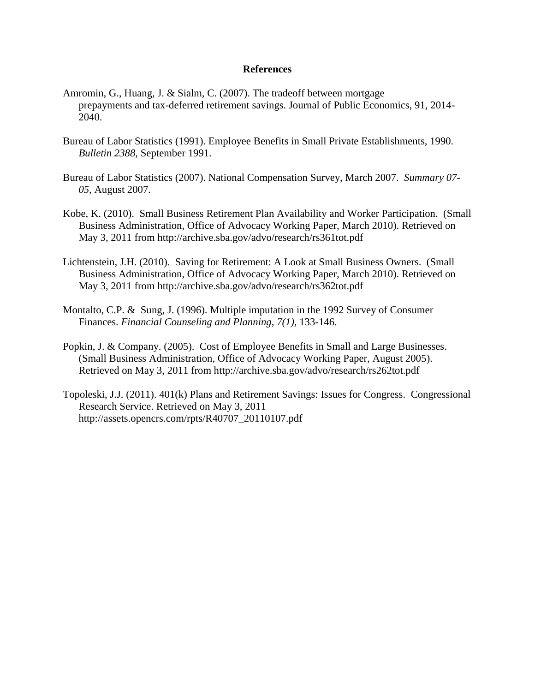## **References**

- Amromin, G., Huang, J. & Sialm, C. (2007). The tradeoff between mortgage prepayments and tax-deferred retirement savings. Journal of Public Economics, 91, 2014- 2040.
- Bureau of Labor Statistics (1991). Employee Benefits in Small Private Establishments, 1990. *Bulletin 2388,* September 1991.
- Bureau of Labor Statistics (2007). National Compensation Survey, March 2007. *Summary 07- 05,* August 2007.
- Kobe, K. (2010). Small Business Retirement Plan Availability and Worker Participation. (Small Business Administration, Office of Advocacy Working Paper, March 2010). Retrieved on May 3, 2011 from http://archive.sba.gov/advo/research/rs361tot.pdf
- Lichtenstein, J.H. (2010). Saving for Retirement: A Look at Small Business Owners. (Small Business Administration, Office of Advocacy Working Paper, March 2010). Retrieved on May 3, 2011 from http://archive.sba.gov/advo/research/rs362tot.pdf
- Montalto, C.P. & Sung, J. (1996). Multiple imputation in the 1992 Survey of Consumer Finances. *Financial Counseling and Planning*, *7(1),* 133-146.
- Popkin, J. & Company. (2005). Cost of Employee Benefits in Small and Large Businesses. (Small Business Administration, Office of Advocacy Working Paper, August 2005). Retrieved on May 3, 2011 from http://archive.sba.gov/advo/research/rs262tot.pdf
- Topoleski, J.J. (2011). 401(k) Plans and Retirement Savings: Issues for Congress. Congressional Research Service. Retrieved on May 3, 2011 http://assets.opencrs.com/rpts/R40707\_20110107.pdf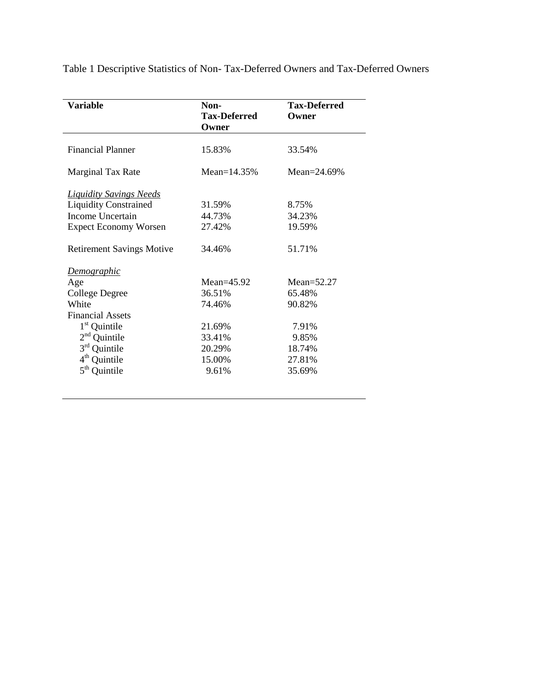|  | Table 1 Descriptive Statistics of Non-Tax-Deferred Owners and Tax-Deferred Owners |  |  |
|--|-----------------------------------------------------------------------------------|--|--|
|  |                                                                                   |  |  |

| <b>Variable</b>                  | Non-                         | <b>Tax-Deferred</b> |
|----------------------------------|------------------------------|---------------------|
|                                  | <b>Tax-Deferred</b><br>Owner | Owner               |
| <b>Financial Planner</b>         | 15.83%                       | 33.54%              |
| Marginal Tax Rate                | Mean= $14.35%$               | Mean= $24.69%$      |
| <b>Liquidity Savings Needs</b>   |                              |                     |
| <b>Liquidity Constrained</b>     | 31.59%                       | 8.75%               |
| <b>Income Uncertain</b>          | 44.73%                       | 34.23%              |
| <b>Expect Economy Worsen</b>     | 27.42%                       | 19.59%              |
| <b>Retirement Savings Motive</b> | 34.46%                       | 51.71%              |
| Demographic                      |                              |                     |
| Age                              | $Mean = 45.92$               | Mean= $52.27$       |
| <b>College Degree</b>            | 36.51%                       | 65.48%              |
| White                            | 74.46%                       | 90.82%              |
| <b>Financial Assets</b>          |                              |                     |
| $1st$ Quintile                   | 21.69%                       | 7.91%               |
| $2nd$ Quintile                   | 33.41%                       | 9.85%               |
| $3rd$ Quintile                   | 20.29%                       | 18.74%              |
| $4th$ Quintile                   | 15.00%                       | 27.81%              |
| $5^{\text{th}}$<br>Quintile      | 9.61%                        | 35.69%              |